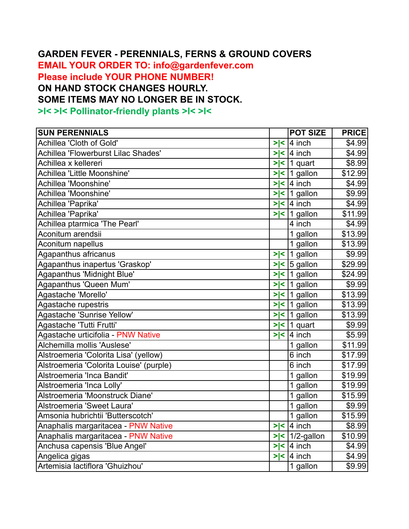## **GARDEN FEVER - PERENNIALS, FERNS & GROUND COVERS**

**EMAIL YOUR ORDER TO: info@gardenfever.com Please include YOUR PHONE NUMBER! ON HAND STOCK CHANGES HOURLY. SOME ITEMS MAY NO LONGER BE IN STOCK. >l< >l< Pollinator-friendly plants >l< >l<** 

| <b>SUN PERENNIALS</b>                   |     | <b>POT SIZE</b>         | <b>PRICE</b> |
|-----------------------------------------|-----|-------------------------|--------------|
| Achillea 'Cloth of Gold'                | > < | $ 4$ inch               | \$4.99       |
| Achillea 'Flowerburst Lilac Shades'     |     | $>$  < 4 inch           | \$4.99       |
| Achillea x kellereri                    |     | $>$  <  1 quart         | \$8.99       |
| Achillea 'Little Moonshine'             |     | $>$  <  1 gallon        | \$12.99      |
| Achillea 'Moonshine'                    |     | $>$  < $ 4$ inch        | \$4.99       |
| Achillea 'Moonshine'                    |     | $>$  <  1 gallon        | \$9.99       |
| Achillea 'Paprika'                      |     | $>$  < 4 inch           | \$4.99       |
| Achillea 'Paprika'                      |     | $>$  <   1 gallon       | \$11.99      |
| Achillea ptarmica 'The Pearl'           |     | 4 inch                  | \$4.99       |
| Aconitum arendsii                       |     | 1 gallon                | \$13.99      |
| Aconitum napellus                       |     | 1 gallon                | \$13.99      |
| Agapanthus africanus                    |     | $>$  <  1 gallon        | \$9.99       |
| Agapanthus inapertus 'Graskop'          |     | $>$  < $\vert$ 5 gallon | \$29.99      |
| Agapanthus 'Midnight Blue'              |     | $>$  <  1 gallon        | \$24.99      |
| Agapanthus 'Queen Mum'                  |     | $>$  <  1 gallon        | \$9.99       |
| Agastache 'Morello'                     |     | $>$  <  1 gallon        | \$13.99      |
| Agastache rupestris                     |     | $>$  <  1 gallon        | \$13.99      |
| Agastache 'Sunrise Yellow'              |     | $>$  <   1 gallon       | \$13.99      |
| Agastache 'Tutti Frutti'                |     | $>$  <  1 quart         | \$9.99       |
| Agastache urticifolia - PNW Native      |     | $>$  <  4 inch          | \$5.99       |
| Alchemilla mollis 'Auslese'             |     | 1 gallon                | \$11.99      |
| Alstroemeria 'Colorita Lisa' (yellow)   |     | 6 inch                  | \$17.99      |
| Alstroemeria 'Colorita Louise' (purple) |     | 6 inch                  | \$17.99      |
| Alstroemeria 'Inca Bandit'              |     | 1 gallon                | \$19.99      |
| Alstroemeria 'Inca Lolly'               |     | 1 gallon                | \$19.99      |
| Alstroemeria 'Moonstruck Diane'         |     | 1 gallon                | \$15.99      |
| Alstroemeria 'Sweet Laura'              |     | 1 gallon                | \$9.99       |
| Amsonia hubrichtii 'Butterscotch'       |     | 1 gallon                | \$15.99      |
| Anaphalis margaritacea - PNW Native     |     | $>$  <  4 inch          | \$8.99       |
| Anaphalis margaritacea - PNW Native     |     | $>$  <   1/2-gallon     | \$10.99      |
| Anchusa capensis 'Blue Angel'           |     | $>$  <  4 inch          | \$4.99       |
| Angelica gigas                          |     | $>$  < 4 inch           | \$4.99       |
| Artemisia lactiflora 'Ghuizhou'         |     | 1 gallon                | \$9.99       |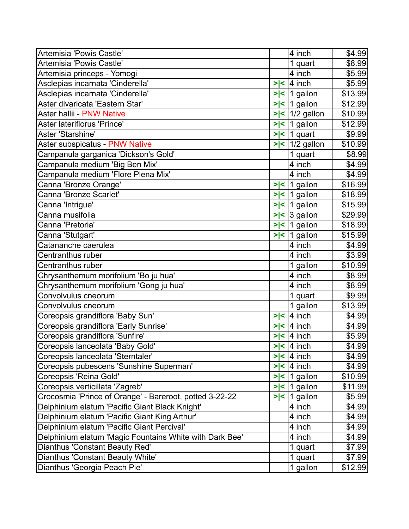| Artemisia 'Powis Castle'                                |        | 4 inch                | \$4.99  |
|---------------------------------------------------------|--------|-----------------------|---------|
| Artemisia 'Powis Castle'                                |        | 1 quart               | \$8.99  |
| Artemisia princeps - Yomogi                             |        | 4 inch                | \$5.99  |
| Asclepias incarnata 'Cinderella'                        | > <    | 4 inch                | \$5.99  |
| Asclepias incarnata 'Cinderella'                        |        | $>$  <  1 gallon      | \$13.99 |
| Aster divaricata 'Eastern Star'                         |        | $>$  <  1 gallon      | \$12.99 |
| Aster hallii - PNW Native                               |        | $\sqrt{5}$ 1/2 gallon | \$10.99 |
| Aster lateriflorus 'Prince'                             | $>\lt$ | 1 gallon              | \$12.99 |
| Aster 'Starshine'                                       |        | $>$  <  1 quart       | \$9.99  |
| Aster subspicatus - PNW Native                          |        | $>$  <   1/2 gallon   | \$10.99 |
| Campanula garganica 'Dickson's Gold'                    |        | 1 quart               | \$8.99  |
| Campanula medium 'Big Ben Mix'                          |        | 4 inch                | \$4.99  |
| Campanula medium 'Flore Plena Mix'                      |        | 4 inch                | \$4.99  |
| Canna 'Bronze Orange'                                   | $>\lt$ | 1 gallon              | \$16.99 |
| Canna 'Bronze Scarlet'                                  | > <    | 1 gallon              | \$18.99 |
| Canna 'Intrigue'                                        | > <    | 1 gallon              | \$15.99 |
| Canna musifolia                                         |        | $>$  <  3 gallon      | \$29.99 |
| Canna 'Pretoria'                                        |        | $>$  <  1 gallon      | \$18.99 |
| Canna 'Stutgart'                                        | > <    | 1 gallon              | \$15.99 |
| Catananche caerulea                                     |        | 4 inch                | \$4.99  |
| Centranthus ruber                                       |        | 4 inch                | \$3.99  |
| Centranthus ruber                                       |        | 1 gallon              | \$10.99 |
| Chrysanthemum morifolium 'Bo ju hua'                    |        | 4 inch                | \$8.99  |
| Chrysanthemum morifolium 'Gong ju hua'                  |        | 4 inch                | \$8.99  |
| Convolvulus cneorum                                     |        | 1 quart               | \$9.99  |
| Convolvulus cneorum                                     |        | 1 gallon              | \$13.99 |
| Coreopsis grandiflora 'Baby Sun'                        | > <    | 4 inch                | \$4.99  |
| Coreopsis grandiflora 'Early Sunrise'                   | > <    | 4 inch                | \$4.99  |
| Coreopsis grandiflora 'Sunfire'                         | > <    | 4 inch                | \$5.99  |
| Coreopsis lanceolata 'Baby Gold'                        |        | $>$  <  4 inch        | \$4.99  |
| Coreopsis lanceolata 'Sterntaler'                       | > <    | 4 inch                | \$4.99  |
| Coreopsis pubescens 'Sunshine Superman'                 | > <    | 4 inch                | \$4.99  |
| Coreopsis 'Reina Gold'                                  |        | $>$  <  1 gallon      | \$10.99 |
| Coreopsis verticillata 'Zagreb'                         |        | $>$  <  1 gallon      | \$11.99 |
| Crocosmia 'Prince of Orange' - Bareroot, potted 3-22-22 |        | $>$  <  1 gallon      | \$5.99  |
| Delphinium elatum 'Pacific Giant Black Knight'          |        | 4 inch                | \$4.99  |
| Delphinium elatum 'Pacific Giant King Arthur'           |        | 4 inch                | \$4.99  |
| Delphinium elatum 'Pacific Giant Percival'              |        | 4 inch                | \$4.99  |
| Delphinium elatum 'Magic Fountains White with Dark Bee' |        | 4 inch                | \$4.99  |
| Dianthus 'Constant Beauty Red'                          |        | 1 quart               | \$7.99  |
| Dianthus 'Constant Beauty White'                        |        | 1 quart               | \$7.99  |
| Dianthus 'Georgia Peach Pie'                            |        | 1 gallon              | \$12.99 |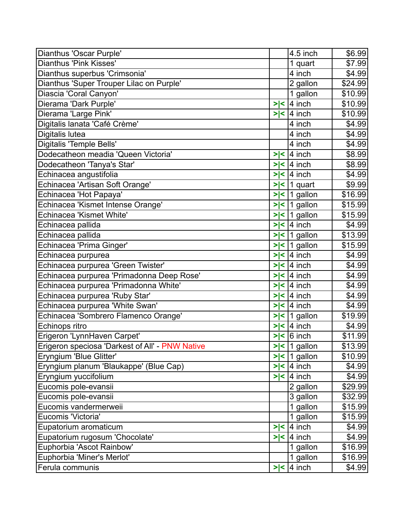| Dianthus 'Oscar Purple'                         |        | 4.5 inch         | \$6.99  |
|-------------------------------------------------|--------|------------------|---------|
| Dianthus 'Pink Kisses'                          |        | 1 quart          | \$7.99  |
| Dianthus superbus 'Crimsonia'                   |        | 4 inch           | \$4.99  |
| Dianthus 'Super Trouper Lilac on Purple'        |        | 2 gallon         | \$24.99 |
| Diascia 'Coral Canyon'                          |        | 1 gallon         | \$10.99 |
| Dierama 'Dark Purple'                           | > <    | 4 inch           | \$10.99 |
| Dierama 'Large Pink'                            | > <    | $ 4$ inch        | \$10.99 |
| Digitalis lanata 'Café Crème'                   |        | 4 inch           | \$4.99  |
| Digitalis lutea                                 |        | 4 inch           | \$4.99  |
| <b>Digitalis 'Temple Bells'</b>                 |        | 4 inch           | \$4.99  |
| Dodecatheon meadia 'Queen Victoria'             | >∣<    | $ 4$ inch        | \$8.99  |
| Dodecatheon 'Tanya's Star'                      |        | $>$  <  4 inch   | \$8.99  |
| Echinacea angustifolia                          |        | $>$  <  4 inch   | \$4.99  |
| Echinacea 'Artisan Soft Orange'                 | > <    | 1 quart          | \$9.99  |
| Echinacea 'Hot Papaya'                          |        | $>$  <  1 gallon | \$16.99 |
| Echinacea 'Kismet Intense Orange'               |        | $>$  <  1 gallon | \$15.99 |
| Echinacea 'Kismet White'                        |        | $>$  <  1 gallon | \$15.99 |
| Echinacea pallida                               |        | $>$  <  4 inch   | \$4.99  |
| Echinacea pallida                               |        | $>$  <  1 gallon | \$13.99 |
| Echinacea 'Prima Ginger'                        |        | $>$  <  1 gallon | \$15.99 |
| Echinacea purpurea                              |        | $>$  < 4 inch    | \$4.99  |
| Echinacea purpurea 'Green Twister'              | $>\lt$ | 4 inch           | \$4.99  |
| Echinacea purpurea 'Primadonna Deep Rose'       |        | $>$  <  4 inch   | \$4.99  |
| Echinacea purpurea 'Primadonna White'           | >l<    | $ 4$ inch        | \$4.99  |
| Echinacea purpurea 'Ruby Star'                  |        | $>$  <  4 inch   | \$4.99  |
| Echinacea purpurea 'White Swan'                 | > <    | $ 4$ inch        | \$4.99  |
| Echinacea 'Sombrero Flamenco Orange'            |        | $>$  <  1 gallon | \$19.99 |
| Echinops ritro                                  | > <    | 4 inch           | \$4.99  |
| Erigeron 'LynnHaven Carpet'                     | > <    | 6 inch           | \$11.99 |
| Erigeron speciosa 'Darkest of All' - PNW Native |        | $>$  <  1 gallon | \$13.99 |
| Eryngium 'Blue Glitter'                         |        | $>$  <  1 gallon | \$10.99 |
| Eryngium planum 'Blaukappe' (Blue Cap)          | > <    | $ 4$ inch        | \$4.99  |
| Eryngium yuccifolium                            |        | $>$  <  4 inch   | \$4.99  |
| Eucomis pole-evansii                            |        | 2 gallon         | \$29.99 |
| Eucomis pole-evansii                            |        | 3 gallon         | \$32.99 |
| Eucomis vandermerweii                           |        | 1 gallon         | \$15.99 |
| Eucomis 'Victoria'                              |        | 1 gallon         | \$15.99 |
| Eupatorium aromaticum                           | > <    | $4$ inch         | \$4.99  |
| Eupatorium rugosum 'Chocolate'                  |        | $>$  <  4 inch   | \$4.99  |
| Euphorbia 'Ascot Rainbow'                       |        | 1 gallon         | \$16.99 |
| Euphorbia 'Miner's Merlot'                      |        | 1 gallon         | \$16.99 |
| Ferula communis                                 | > <    | 4 inch           | \$4.99  |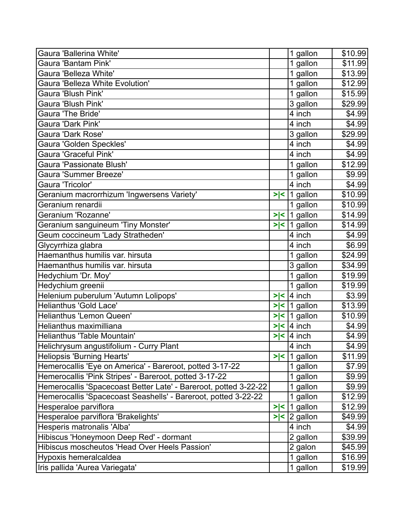| Gaura 'Ballerina White'                                          |     | 1 gallon         | \$10.99 |
|------------------------------------------------------------------|-----|------------------|---------|
| Gaura 'Bantam Pink'                                              |     | 1 gallon         | \$11.99 |
| Gaura 'Belleza White'                                            |     | 1 gallon         | \$13.99 |
| <b>Gaura 'Belleza White Evolution'</b>                           |     | 1 gallon         | \$12.99 |
| Gaura 'Blush Pink'                                               |     | 1 gallon         | \$15.99 |
| Gaura 'Blush Pink'                                               |     | 3 gallon         | \$29.99 |
| Gaura 'The Bride'                                                |     | 4 inch           | \$4.99  |
| Gaura 'Dark Pink'                                                |     | 4 inch           | \$4.99  |
| Gaura 'Dark Rose'                                                |     | 3 gallon         | \$29.99 |
| Gaura 'Golden Speckles'                                          |     | 4 inch           | \$4.99  |
| Gaura 'Graceful Pink'                                            |     | 4 inch           | \$4.99  |
| Gaura 'Passionate Blush'                                         |     | 1 gallon         | \$12.99 |
| Gaura 'Summer Breeze'                                            |     | 1 gallon         | \$9.99  |
| Gaura 'Tricolor'                                                 |     | 4 inch           | \$4.99  |
| Geranium macrorrhizum 'Ingwersens Variety'                       | > < | 1 gallon         | \$10.99 |
| Geranium renardii                                                |     | 1 gallon         | \$10.99 |
| Geranium 'Rozanne'                                               |     | $>$  <  1 gallon | \$14.99 |
| Geranium sanguineum 'Tiny Monster'                               |     | $>$  <  1 gallon | \$14.99 |
| Geum coccineum 'Lady Stratheden'                                 |     | 4 inch           | \$4.99  |
| Glycyrrhiza glabra                                               |     | 4 inch           | \$6.99  |
| Haemanthus humilis var. hirsuta                                  |     | 1 gallon         | \$24.99 |
| Haemanthus humilis var. hirsuta                                  |     | 3 gallon         | \$34.99 |
| Hedychium 'Dr. Moy'                                              |     | 1 gallon         | \$19.99 |
| Hedychium greenii                                                |     | 1 gallon         | \$19.99 |
| Helenium puberulum 'Autumn Lolipops'                             |     | $>$  < 4 inch    | \$3.99  |
| Helianthus 'Gold Lace'                                           | > < | 1 gallon         | \$13.99 |
| Helianthus 'Lemon Queen'                                         | >∣< | 1 gallon         | \$10.99 |
| Helianthus maximilliana                                          | > < | 4 inch           | \$4.99  |
| Helianthus 'Table Mountain'                                      | > < | 4 inch           | \$4.99  |
| Helichrysum angustifolium - Curry Plant                          |     | 4 inch           | \$4.99  |
| Heliopsis 'Burning Hearts'                                       |     | $>$  <  1 gallon | \$11.99 |
| Hemerocallis 'Eye on America' - Bareroot, potted 3-17-22         |     | 1 gallon         | \$7.99  |
| Hemerocallis 'Pink Stripes' - Bareroot, potted 3-17-22           |     | 1 gallon         | \$9.99  |
| Hemerocallis 'Spacecoast Better Late' - Bareroot, potted 3-22-22 |     | 1 gallon         | \$9.99  |
| Hemerocallis 'Spacecoast Seashells' - Bareroot, potted 3-22-22   |     | 1 gallon         | \$12.99 |
| Hesperaloe parviflora                                            | > < | 1 gallon         | \$12.99 |
| Hesperaloe parviflora 'Brakelights'                              | > < | $ 2$ gallon      | \$49.99 |
| Hesperis matronalis 'Alba'                                       |     | 4 inch           | \$4.99  |
| Hibiscus 'Honeymoon Deep Red' - dormant                          |     | 2 gallon         | \$39.99 |
| Hibiscus moscheutos 'Head Over Heels Passion'                    |     | 2 galon          | \$45.99 |
| Hypoxis hemeralcaldea                                            |     | 1 gallon         | \$16.99 |
| Iris pallida 'Aurea Variegata'                                   |     | 1 gallon         | \$19.99 |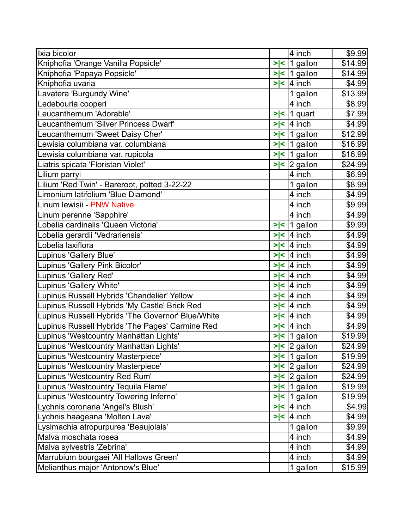| Ixia bicolor                                      |               | 4 inch                  | \$9.99  |
|---------------------------------------------------|---------------|-------------------------|---------|
| Kniphofia 'Orange Vanilla Popsicle'               |               | $>$  <  1 gallon        | \$14.99 |
| Kniphofia 'Papaya Popsicle'                       |               | $>$  <  1 gallon        | \$14.99 |
| Kniphofia uvaria                                  | > <           | $ 4$ inch               | \$4.99  |
| Lavatera 'Burgundy Wine'                          |               | 1 gallon                | \$13.99 |
| Ledebouria cooperi                                |               | 4 inch                  | \$8.99  |
| Leucanthemum 'Adorable'                           | >∣<           | 1 quart                 | \$7.99  |
| Leucanthemum 'Silver Princess Dwarf'              | > <           | $ 4$ inch               | \$4.99  |
| Leucanthemum 'Sweet Daisy Cher'                   |               | $>$  <   1 gallon       | \$12.99 |
| Lewisia columbiana var. columbiana                |               | $>$  <  1 gallon        | \$16.99 |
| Lewisia columbiana var. rupicola                  |               | $>$  <  1 gallon        | \$16.99 |
| Liatris spicata 'Floristan Violet'                |               | $>$  <  2 gallon        | \$24.99 |
| Lilium parryi                                     |               | 4 inch                  | \$6.99  |
| Lilium 'Red Twin' - Bareroot, potted 3-22-22      |               | 1 gallon                | \$8.99  |
| Limonium latifolium 'Blue Diamond'                |               | 4 inch                  | \$4.99  |
| Linum lewisii - PNW Native                        |               | 4 inch                  | \$9.99  |
| Linum perenne 'Sapphire'                          |               | 4 inch                  | \$4.99  |
| Lobelia cardinalis 'Queen Victoria'               |               | $>$  <  1 gallon        | \$9.99  |
| Lobelia gerardii 'Vedrariensis'                   | > <           | $ 4$ inch               | \$4.99  |
| Lobelia laxiflora                                 | > <           | $ 4$ inch               | \$4.99  |
| Lupinus 'Gallery Blue'                            | $>\lt$        | $ 4$ inch               | \$4.99  |
| Lupinus 'Gallery Pink Bicolor'                    | $>\lt$        | 4 inch                  | \$4.99  |
| Lupinus 'Gallery Red'                             | k<br>⋗        | $ 4$ inch               | \$4.99  |
| Lupinus 'Gallery White'                           | >l<           | $ 4$ inch               | \$4.99  |
| Lupinus Russell Hybrids 'Chandelier' Yellow       | $\prec$<br>⋗∣ | 4 inch                  | \$4.99  |
| Lupinus Russell Hybrids 'My Castle' Brick Red     | > <           | $ 4$ inch               | \$4.99  |
| Lupinus Russell Hybrids 'The Governor' Blue/White |               | $>$  <  4 inch          | \$4.99  |
| Lupinus Russell Hybrids 'The Pages' Carmine Red   |               | $>$  <  4 inch          | \$4.99  |
| Lupinus 'Westcountry Manhattan Lights'            |               | $>$  <  1 gallon        | \$19.99 |
| Lupinus 'Westcountry Manhattan Lights'            |               | $>$  < $ 2$ gallon      | \$24.99 |
| Lupinus 'Westcountry Masterpiece'                 |               | $>$  <  1 gallon        | \$19.99 |
| Lupinus 'Westcountry Masterpiece'                 |               | $>$  <  2 gallon        | \$24.99 |
| Lupinus 'Westcountry Red Rum'                     |               | $>$  < $\vert$ 2 gallon | \$24.99 |
| Lupinus 'Westcountry Tequila Flame'               |               | $>$  <   1 gallon       | \$19.99 |
| Lupinus 'Westcountry Towering Inferno'            |               | $>$  <   1 gallon       | \$19.99 |
| Lychnis coronaria 'Angel's Blush'                 |               | $>$  <  4 inch          | \$4.99  |
| Lychnis haageana 'Molten Lava'                    |               | $>$  <  4 inch          | \$4.99  |
| Lysimachia atropurpurea 'Beaujolais'              |               | 1 gallon                | \$9.99  |
| Malva moschata rosea                              |               | 4 inch                  | \$4.99  |
| Malva sylvestris 'Zebrina'                        |               | 4 inch                  | \$4.99  |
| Marrubium bourgaei 'All Hallows Green'            |               | 4 inch                  | \$4.99  |
| Melianthus major 'Antonow's Blue'                 |               | 1 gallon                | \$15.99 |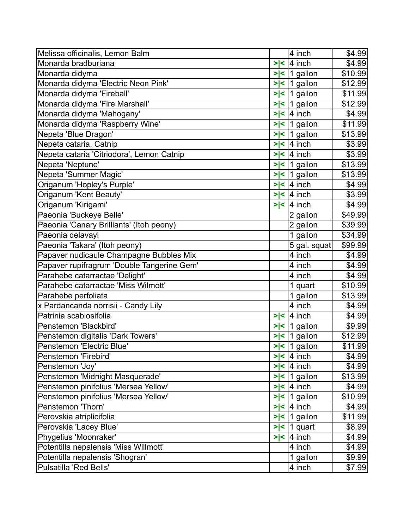| Melissa officinalis, Lemon Balm            |                       |                | 4 inch            | \$4.99  |
|--------------------------------------------|-----------------------|----------------|-------------------|---------|
| Monarda bradburiana                        | > <                   |                | $ 4$ inch         | \$4.99  |
| Monarda didyma                             | > <                   | $\overline{1}$ | gallon            | \$10.99 |
| Monarda didyma 'Electric Neon Pink'        | > <                   |                | 1 gallon          | \$12.99 |
| Monarda didyma 'Fireball'                  |                       |                | $>$  <  1 gallon  | \$11.99 |
| Monarda didyma 'Fire Marshall'             | > <                   |                | $ 1$ gallon       | \$12.99 |
| Monarda didyma 'Mahogany'                  | > <                   |                | $4$ inch          | \$4.99  |
| Monarda didyma 'Raspberry Wine'            | $\blacktriangleright$ |                | $\leq$ 1 gallon   | \$11.99 |
| Nepeta 'Blue Dragon'                       |                       |                | $>$  <  1 gallon  | \$13.99 |
| Nepeta cataria, Catnip                     | > <                   |                | 4 inch            | \$3.99  |
| Nepeta cataria 'Citriodora', Lemon Catnip  |                       |                | $>$  <  4 inch    | \$3.99  |
| Nepeta 'Neptune'                           |                       |                | $>$  <  1 gallon  | \$13.99 |
| Nepeta 'Summer Magic'                      |                       |                | $>$  <  1 gallon  | \$13.99 |
| Origanum 'Hopley's Purple'                 | > <                   |                | 4 inch            | \$4.99  |
| Origanum 'Kent Beauty'                     |                       |                | $>$  <  4 inch    | \$3.99  |
| Origanum 'Kirigami'                        | > <                   |                | l4 inch           | \$4.99  |
| Paeonia 'Buckeye Belle'                    |                       |                | 2 gallon          | \$49.99 |
| Paeonia 'Canary Brilliants' (Itoh peony)   |                       |                | 2 gallon          | \$39.99 |
| Paeonia delavayi                           |                       |                | 1 gallon          | \$34.99 |
| Paeonia 'Takara' (Itoh peony)              |                       |                | 5 gal. squat      | \$99.99 |
| Papaver nudicaule Champagne Bubbles Mix    |                       |                | 4 inch            | \$4.99  |
| Papaver rupifragrum 'Double Tangerine Gem' |                       |                | 4 inch            | \$4.99  |
| Parahebe catarractae 'Delight'             |                       |                | 4 inch            | \$4.99  |
| Parahebe catarractae 'Miss Wilmott'        |                       |                | 1 quart           | \$10.99 |
| Parahebe perfoliata                        |                       |                | 1 gallon          | \$13.99 |
| x Pardancanda norrisii - Candy Lily        |                       |                | 4 inch            | \$4.99  |
| Patrinia scabiosifolia                     | > <                   |                | $ 4$ inch         | \$4.99  |
| Penstemon 'Blackbird'                      |                       |                | $>$  <  1 gallon  | \$9.99  |
| Penstemon digitalis 'Dark Towers'          |                       |                | $>$  <  1 gallon  | \$12.99 |
| Penstemon 'Electric Blue'                  |                       |                | $\ge$   1 gallon  | \$11.99 |
| Penstemon 'Firebird'                       | > <                   |                | $ 4$ inch         | \$4.99  |
| Penstemon 'Joy'                            |                       |                | $>$  <  4 inch    | \$4.99  |
| Penstemon 'Midnight Masquerade'            |                       |                | $>$  <  1 gallon  | \$13.99 |
| Penstemon pinifolius 'Mersea Yellow'       |                       |                | $>$  <  4 inch    | \$4.99  |
| Penstemon pinifolius 'Mersea Yellow'       |                       |                | $>$  <   1 gallon | \$10.99 |
| Penstemon 'Thorn'                          |                       |                | $>$  <  4 inch    | \$4.99  |
| Perovskia atriplicifolia                   |                       |                | $>$  <  1 gallon  | \$11.99 |
| Perovskia 'Lacey Blue'                     |                       |                | $>$  <  1 quart   | \$8.99  |
| Phygelius 'Moonraker'                      | > <                   |                | $ 4$ inch         | \$4.99  |
| Potentilla nepalensis 'Miss Willmott'      |                       |                | 4 inch            | \$4.99  |
| Potentilla nepalensis 'Shogran'            |                       |                | 1 gallon          | \$9.99  |
| Pulsatilla 'Red Bells'                     |                       |                | 4 inch            | \$7.99  |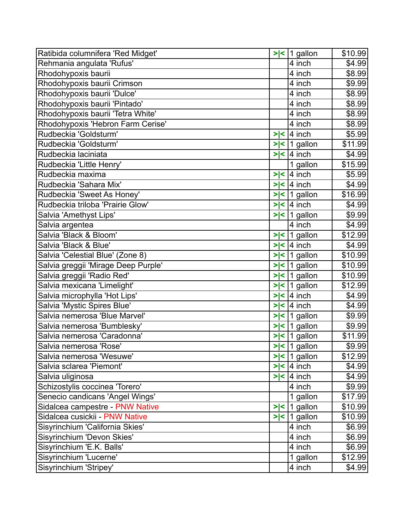| Ratibida columnifera 'Red Midget'   |        | $>$  <  1 gallon  | \$10.99 |
|-------------------------------------|--------|-------------------|---------|
| Rehmania angulata 'Rufus'           |        | 4 inch            | \$4.99  |
| Rhodohypoxis baurii                 |        | 4 inch            | \$8.99  |
| Rhodohypoxis baurii Crimson         |        | 4 inch            | \$9.99  |
| Rhodohypoxis baurii 'Dulce'         |        | 4 inch            | \$8.99  |
| Rhodohypoxis baurii 'Pintado'       |        | 4 inch            | \$8.99  |
| Rhodohypoxis baurii 'Tetra White'   |        | 4 inch            | \$8.99  |
| Rhodohypoxis 'Hebron Farm Cerise'   |        | 4 inch            | \$8.99  |
| Rudbeckia 'Goldsturm'               | > <    | 4 inch            | \$5.99  |
| Rudbeckia 'Goldsturm'               |        | $>$  <  1 gallon  | \$11.99 |
| Rudbeckia laciniata                 | > <    | $4$ inch          | \$4.99  |
| Rudbeckia 'Little Henry'            |        | 1 gallon          | \$15.99 |
| Rudbeckia maxima                    | > <    | $ 4$ inch         | \$5.99  |
| Rudbeckia 'Sahara Mix'              |        | $>$  <  4 inch    | \$4.99  |
| Rudbeckia 'Sweet As Honey'          |        | $>$  <   1 gallon | \$16.99 |
| Rudbeckia triloba 'Prairie Glow'    | > <    | $ 4$ inch         | \$4.99  |
| Salvia 'Amethyst Lips'              |        | $>$  <  1 gallon  | \$9.99  |
| Salvia argentea                     |        | 4 inch            | \$4.99  |
| Salvia 'Black & Bloom'              |        | $>$  <  1 gallon  | \$12.99 |
| Salvia 'Black & Blue'               |        | $>$  <  4 inch    | \$4.99  |
| Salvia 'Celestial Blue' (Zone 8)    |        | $>$  <  1 gallon  | \$10.99 |
| Salvia greggii 'Mirage Deep Purple' |        | $>$  <  1 gallon  | \$10.99 |
| Salvia greggii 'Radio Red'          |        | $>$  <   1 gallon | \$10.99 |
| Salvia mexicana 'Limelight'         | > <    | 1 gallon          | \$12.99 |
| Salvia microphylla 'Hot Lips'       |        | $>$  <  4 inch    | \$4.99  |
| Salvia 'Mystic Spires Blue'         | $>\lt$ | $ 4$ inch         | \$4.99  |
| Salvia nemerosa 'Blue Marvel'       |        | $>$  <  1 gallon  | \$9.99  |
| Salvia nemerosa 'Bumblesky'         |        | $>$  <  1 gallon  | \$9.99  |
| Salvia nemerosa 'Caradonna'         |        | $>$  <  1 gallon  | \$11.99 |
| Salvia nemerosa 'Rose'              |        | $>$  <  1 gallon  | \$9.99  |
| Salvia nemerosa 'Wesuwe'            |        | $>$  <  1 gallon  | \$12.99 |
| Salvia sclarea 'Piemont'            | > <    | $ 4$ inch         | \$4.99  |
| Salvia uliginosa                    |        | $>$  <  4 inch    | \$4.99  |
| Schizostylis coccinea 'Torero'      |        | 4 inch            | \$9.99  |
| Senecio candicans 'Angel Wings'     |        | 1 gallon          | \$17.99 |
| Sidalcea campestre - PNW Native     | > <    | 1 gallon          | \$10.99 |
| Sidalcea cusickii - PNW Native      |        | $>$  <   1 gallon | \$10.99 |
| Sisyrinchium 'California Skies'     |        | 4 inch            | \$6.99  |
| Sisyrinchium 'Devon Skies'          |        | 4 inch            | \$6.99  |
| Sisyrinchium 'E.K. Balls'           |        | 4 inch            | \$6.99  |
| Sisyrinchium 'Lucerne'              |        | 1 gallon          | \$12.99 |
| Sisyrinchium 'Stripey'              |        | 4 inch            | \$4.99  |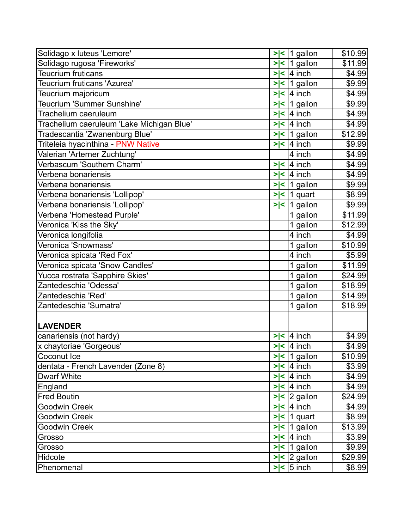| Solidago x luteus 'Lemore'                |        | $>$  <  1 gallon        | \$10.99 |
|-------------------------------------------|--------|-------------------------|---------|
| Solidago rugosa 'Fireworks'               |        | $>$  <   1 gallon       | \$11.99 |
| Teucrium fruticans                        | $>\lt$ | 4 inch                  | \$4.99  |
| Teucrium fruticans 'Azurea'               | $>\lt$ | 1 gallon                | \$9.99  |
| Teucrium majoricum                        | > <    | 4 inch                  | \$4.99  |
| Teucrium 'Summer Sunshine'                | > <    | $ 1$ gallon             | \$9.99  |
| Trachelium caeruleum                      | $>\lt$ | 4 inch                  | \$4.99  |
| Trachelium caeruleum 'Lake Michigan Blue' | > <    | $ 4$ inch               | \$4.99  |
| Tradescantia 'Zwanenburg Blue'            |        | $>$  <   1 gallon       | \$12.99 |
| Triteleia hyacinthina - PNW Native        | > <    | $ 4$ inch               | \$9.99  |
| Valerian 'Arterner Zuchtung'              |        | 4 inch                  | \$4.99  |
| Verbascum 'Southern Charm'                | > <    | $ 4$ inch               | \$4.99  |
| Verbena bonariensis                       |        | $>$  <  4 inch          | \$4.99  |
| Verbena bonariensis                       | > <    | $ 1$ gallon             | \$9.99  |
| Verbena bonariensis 'Lollipop'            |        | $>$  <  1 quart         | \$8.99  |
| Verbena bonariensis 'Lollipop'            |        | $>$  <  1 gallon        | \$9.99  |
| Verbena 'Homestead Purple'                |        | 1 gallon                | \$11.99 |
| Veronica 'Kiss the Sky'                   |        | 1 gallon                | \$12.99 |
| Veronica longifolia                       |        | 4 inch                  | \$4.99  |
| Veronica 'Snowmass'                       |        | 1 gallon                | \$10.99 |
| Veronica spicata 'Red Fox'                |        | 4 inch                  | \$5.99  |
| Veronica spicata 'Snow Candles'           |        | 1 gallon                | \$11.99 |
| Yucca rostrata 'Sapphire Skies'           |        | 1 gallon                | \$24.99 |
| Zantedeschia 'Odessa'                     |        | 1 gallon                | \$18.99 |
| Zantedeschia 'Red'                        |        | 1 gallon                | \$14.99 |
| Zantedeschia 'Sumatra'                    |        | 1 gallon                | \$18.99 |
|                                           |        |                         |         |
| <b>LAVENDER</b>                           |        |                         |         |
| canariensis (not hardy)                   |        | $>$  <  4 inch          | \$4.99  |
| x chaytoriae 'Gorgeous'                   |        | $\ge$   4 inch          | \$4.99  |
| Coconut Ice                               |        | $>$  <   1 gallon       | \$10.99 |
| dentata - French Lavender (Zone 8)        |        | $>$  <  4 inch          | \$3.99  |
| Dwarf White                               |        | $>$  <  4 inch          | \$4.99  |
| England                                   |        | $>$  <  4 inch          | \$4.99  |
| <b>Fred Boutin</b>                        |        | $>$  <  2 gallon        | \$24.99 |
| Goodwin Creek                             |        | $>$  <  4 inch          | \$4.99  |
| Goodwin Creek                             |        | $>$  <  1 quart         | \$8.99  |
| Goodwin Creek                             |        | $>$  <   1 gallon       | \$13.99 |
| Grosso                                    |        | $>$  <  4 inch          | \$3.99  |
| Grosso                                    |        | $>$  <  1 gallon        | \$9.99  |
| Hidcote                                   |        | $>$  < $\vert$ 2 gallon | \$29.99 |
| Phenomenal                                |        | $>$  < $\vert$ 5 inch   | \$8.99  |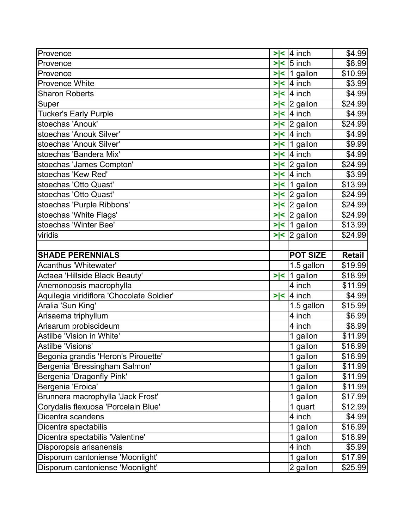| Provence                                                             | > <    | $ 4$ inch               | \$4.99             |
|----------------------------------------------------------------------|--------|-------------------------|--------------------|
| Provence                                                             | > <    | $5$ inch                | \$8.99             |
| Provence                                                             | $>\lt$ | 1 gallon                | \$10.99            |
| Provence White                                                       | > <    | $ 4$ inch               | \$3.99             |
| <b>Sharon Roberts</b>                                                |        | $>$  <  4 inch          | \$4.99             |
| Super                                                                |        | $>$  < $\vert$ 2 gallon | \$24.99            |
| <b>Tucker's Early Purple</b>                                         |        | $>$  < 4 inch           | \$4.99             |
| stoechas 'Anouk'                                                     |        | $>$  < $\vert$ 2 gallon | \$24.99            |
| stoechas 'Anouk Silver'                                              |        | $>$  < 4 inch           | \$4.99             |
| stoechas 'Anouk Silver'                                              |        | $>$  <  1 gallon        | \$9.99             |
| stoechas 'Bandera Mix'                                               |        | $>$  <  4 inch          | \$4.99             |
| stoechas 'James Compton'                                             |        | $>$  < $\vert$ 2 gallon | \$24.99            |
| stoechas 'Kew Red'                                                   |        | $>$  <  4 inch          | \$3.99             |
| stoechas 'Otto Quast'                                                |        | $>$  <  1 gallon        | \$13.99            |
| stoechas 'Otto Quast'                                                |        | $>$  < $ 2$ gallon      | \$24.99            |
| stoechas 'Purple Ribbons'                                            |        | $>$  <  2 gallon        | \$24.99            |
| stoechas 'White Flags'                                               |        | $>$  < $\vert$ 2 gallon | \$24.99            |
| stoechas 'Winter Bee'                                                |        | $>$  <   1 gallon       | \$13.99            |
| viridis                                                              |        | $>$  < $\vert$ 2 gallon | \$24.99            |
|                                                                      |        |                         |                    |
| <b>SHADE PERENNIALS</b>                                              |        | <b>POT SIZE</b>         | <b>Retail</b>      |
|                                                                      |        |                         |                    |
| Acanthus 'Whitewater'                                                |        | 1.5 gallon              | \$19.99            |
| Actaea 'Hillside Black Beauty'                                       |        | $>$  <  1 gallon        | \$18.99            |
| Anemonopsis macrophylla                                              |        | 4 inch                  | \$11.99            |
| Aquilegia viridiflora 'Chocolate Soldier'                            | > <    | $ 4$ inch               | \$4.99             |
| Aralia 'Sun King'                                                    |        | 1.5 gallon              | \$15.99            |
| Arisaema triphyllum                                                  |        | 4 inch                  | \$6.99             |
| Arisarum probiscideum                                                |        | 4 inch                  | \$8.99             |
| Astilbe 'Vision in White'                                            |        | 1 gallon                | \$11.99            |
| Astilbe 'Visions'                                                    |        | 1 gallon                | \$16.99]           |
| Begonia grandis 'Heron's Pirouette'                                  |        | 1 gallon                | \$16.99            |
| Bergenia 'Bressingham Salmon'                                        |        | 1 gallon                | \$11.99            |
| Bergenia 'Dragonfly Pink'                                            |        | 1 gallon                | \$11.99            |
| Bergenia 'Eroica'                                                    |        | 1 gallon                | \$11.99            |
| Brunnera macrophylla 'Jack Frost'                                    |        | 1 gallon                | \$17.99            |
| Corydalis flexuosa 'Porcelain Blue'                                  |        | 1 quart                 | \$12.99            |
| Dicentra scandens                                                    |        | 4 inch                  | \$4.99             |
| Dicentra spectabilis                                                 |        | 1 gallon                | \$16.99            |
| Dicentra spectabilis 'Valentine'                                     |        | 1 gallon                | \$18.99            |
| Disporopsis arisanensis                                              |        | 4 inch                  | \$5.99             |
| Disporum cantoniense 'Moonlight'<br>Disporum cantoniense 'Moonlight' |        | 1 gallon<br>2 gallon    | \$17.99<br>\$25.99 |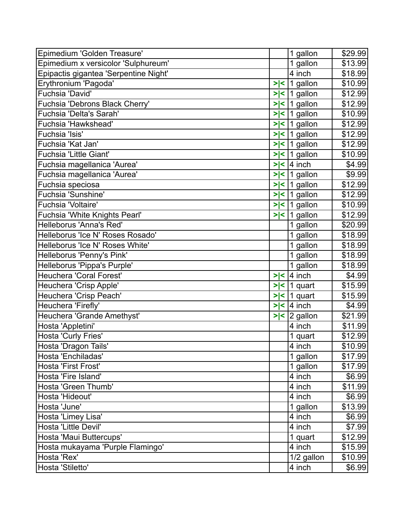| Epimedium 'Golden Treasure'           |        | 1 gallon         | \$29.99 |
|---------------------------------------|--------|------------------|---------|
| Epimedium x versicolor 'Sulphureum'   |        | 1 gallon         | \$13.99 |
| Epipactis gigantea 'Serpentine Night' |        | 4 inch           | \$18.99 |
| Erythronium 'Pagoda'                  |        | $>$  <  1 gallon | \$10.99 |
| Fuchsia 'David'                       |        | $>$  <  1 gallon | \$12.99 |
| Fuchsia 'Debrons Black Cherry'        | > <    | 1 gallon         | \$12.99 |
| Fuchsia 'Delta's Sarah'               | > <    | 1 gallon         | \$10.99 |
| Fuchsia 'Hawkshead'                   | > <    | $ 1$ gallon      | \$12.99 |
| Fuchsia 'Isis'                        |        | $>$  <  1 gallon | \$12.99 |
| Fuchsia 'Kat Jan'                     |        | $>$  <  1 gallon | \$12.99 |
| <b>Fuchsia 'Little Giant'</b>         | > <    | 1 gallon         | \$10.99 |
| Fuchsia magellanica 'Aurea'           | > <    | 4 inch           | \$4.99  |
| Fuchsia magellanica 'Aurea'           |        | $>$  <  1 gallon | \$9.99  |
| Fuchsia speciosa                      | > <    | 1 gallon         | \$12.99 |
| Fuchsia 'Sunshine'                    | > <    | 1 gallon         | \$12.99 |
| Fuchsia 'Voltaire'                    |        | $>$  <  1 gallon | \$10.99 |
| Fuchsia 'White Knights Pearl'         |        | $>$  <  1 gallon | \$12.99 |
| Helleborus 'Anna's Red'               |        | 1 gallon         | \$20.99 |
| Helleborus 'Ice N' Roses Rosado'      |        | 1 gallon         | \$18.99 |
| Helleborus 'Ice N' Roses White'       |        | 1 gallon         | \$18.99 |
| Helleborus 'Penny's Pink'             |        | 1 gallon         | \$18.99 |
| Helleborus 'Pippa's Purple'           |        | 1 gallon         | \$18.99 |
| Heuchera 'Coral Forest'               | > <    | $ 4$ inch        | \$4.99  |
| Heuchera 'Crisp Apple'                | > <    | 1 quart          | \$15.99 |
| Heuchera 'Crisp Peach'                | > <    | 1 quart          | \$15.99 |
| Heuchera 'Firefly'                    | $>\lt$ | $ 4$ inch        | \$4.99  |
| Heuchera 'Grande Amethyst'            | > <    | 2 gallon         | \$21.99 |
| Hosta 'Appletini'                     |        | 4 inch           | \$11.99 |
| Hosta 'Curly Fries'                   |        | quart            | \$12.99 |
| Hosta 'Dragon Tails'                  |        | 4 inch           | \$10.99 |
| Hosta 'Enchiladas'                    |        | 1 gallon         | \$17.99 |
| Hosta 'First Frost'                   |        | 1 gallon         | \$17.99 |
| Hosta 'Fire Island'                   |        | 4 inch           | \$6.99  |
| Hosta 'Green Thumb'                   |        | 4 inch           | \$11.99 |
| Hosta 'Hideout'                       |        | 4 inch           | \$6.99  |
| Hosta 'June'                          |        | 1 gallon         | \$13.99 |
| Hosta 'Limey Lisa'                    |        | 4 inch           | \$6.99  |
| Hosta 'Little Devil'                  |        | 4 inch           | \$7.99  |
| Hosta 'Maui Buttercups'               |        | 1 quart          | \$12.99 |
| Hosta mukayama 'Purple Flamingo'      |        | 4 inch           | \$15.99 |
| Hosta 'Rex'                           |        | 1/2 gallon       | \$10.99 |
| Hosta 'Stiletto'                      |        | 4 inch           | \$6.99  |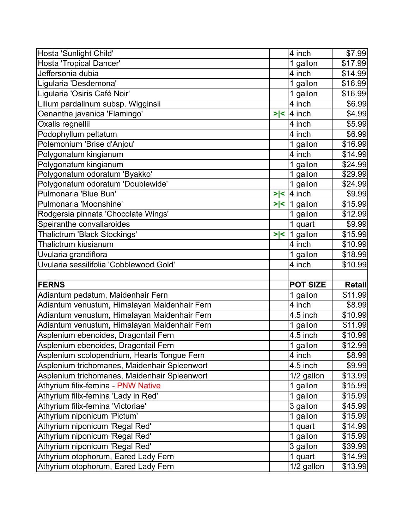| Hosta 'Sunlight Child'                       |     | 4 inch          | \$7.99        |
|----------------------------------------------|-----|-----------------|---------------|
| Hosta 'Tropical Dancer'                      |     | 1 gallon        | \$17.99       |
| Jeffersonia dubia                            |     | 4 inch          | \$14.99       |
| Ligularia 'Desdemona'                        |     | 1 gallon        | \$16.99       |
| Ligularia 'Osiris Café Noir'                 |     | 1 gallon        | \$16.99       |
| Lilium pardalinum subsp. Wigginsii           |     | 4 inch          | \$6.99        |
| Oenanthe javanica 'Flamingo'                 | > < | 4 inch          | \$4.99        |
| Oxalis regnellii                             |     | 4 inch          | \$5.99        |
| Podophyllum peltatum                         |     | 4 inch          | \$6.99        |
| Polemonium 'Brise d'Anjou'                   |     | 1 gallon        | \$16.99       |
| Polygonatum kingianum                        |     | 4 inch          | \$14.99       |
| Polygonatum kingianum                        |     | 1 gallon        | \$24.99       |
| Polygonatum odoratum 'Byakko'                |     | 1 gallon        | \$29.99       |
| Polygonatum odoratum 'Doublewide'            |     | 1 gallon        | \$24.99       |
| Pulmonaria 'Blue Bun'                        | > < | 4 inch          | \$9.99        |
| Pulmonaria 'Moonshine'                       | > < | $ 1$ gallon     | \$15.99       |
| Rodgersia pinnata 'Chocolate Wings'          |     | 1 gallon        | \$12.99       |
| Speiranthe convallaroides                    |     | 1 quart         | \$9.99        |
| Thalictrum 'Black Stockings'                 | > < | 1 gallon        | \$15.99       |
| Thalictrum kiusianum                         |     | 4 inch          | \$10.99       |
| Uvularia grandiflora                         |     | 1 gallon        | \$18.99       |
|                                              |     |                 |               |
| Uvularia sessilifolia 'Cobblewood Gold'      |     | 4 inch          | \$10.99       |
|                                              |     |                 |               |
| <b>FERNS</b>                                 |     | <b>POT SIZE</b> | <b>Retail</b> |
| Adiantum pedatum, Maidenhair Fern            |     | 1 gallon        | \$11.99       |
| Adiantum venustum, Himalayan Maidenhair Fern |     | 4 inch          | \$8.99        |
| Adiantum venustum, Himalayan Maidenhair Fern |     | 4.5 inch        | \$10.99       |
| Adiantum venustum, Himalayan Maidenhair Fern |     | 1 gallon        | \$11.99       |
| Asplenium ebenoides, Dragontail Fern         |     | 4.5 inch        | \$10.99       |
| Asplenium ebenoides, Dragontail Fern         |     | 1 gallon        | \$12.99       |
| Asplenium scolopendrium, Hearts Tongue Fern  |     | 4 inch          | \$8.99        |
| Asplenium trichomanes, Maidenhair Spleenwort |     | 4.5 inch        | \$9.99        |
| Asplenium trichomanes, Maidenhair Spleenwort |     | 1/2 gallon      | \$13.99       |
| Athyrium filix-femina - PNW Native           |     | 1 gallon        | \$15.99       |
| Athyrium filix-femina 'Lady in Red'          |     | 1 gallon        | \$15.99       |
| Athyrium filix-femina 'Victoriae'            |     | 3 gallon        | \$45.99       |
| Athyrium niponicum 'Pictum'                  |     | 1 gallon        | \$15.99       |
| Athyrium niponicum 'Regal Red'               |     | 1 quart         | \$14.99       |
| Athyrium niponicum 'Regal Red'               |     | 1 gallon        | \$15.99       |
| Athyrium niponicum 'Regal Red'               |     | 3 gallon        | \$39.99       |
| Athyrium otophorum, Eared Lady Fern          |     | 1 quart         | \$14.99       |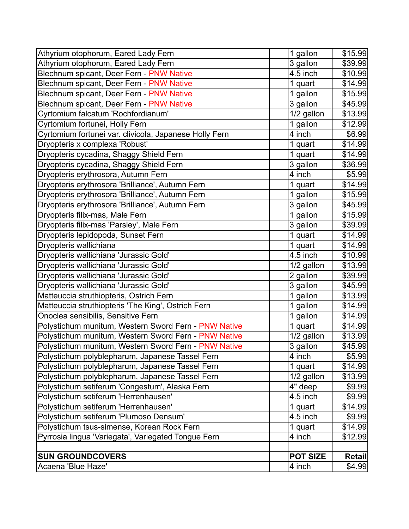| Athyrium otophorum, Eared Lady Fern                    | 1 gallon        | \$15.99       |
|--------------------------------------------------------|-----------------|---------------|
| Athyrium otophorum, Eared Lady Fern                    | 3 gallon        | \$39.99       |
| Blechnum spicant, Deer Fern - PNW Native               | 4.5 inch        | \$10.99       |
| Blechnum spicant, Deer Fern - PNW Native               | 1 quart         | \$14.99       |
| Blechnum spicant, Deer Fern - PNW Native               | 1 gallon        | \$15.99       |
| Blechnum spicant, Deer Fern - PNW Native               | 3 gallon        | \$45.99       |
| Cyrtomium falcatum 'Rochfordianum'                     | 1/2 gallon      | \$13.99       |
| Cyrtomium fortunei, Holly Fern                         | 1 gallon        | \$12.99       |
| Cyrtomium fortunei var. clivicola, Japanese Holly Fern | 4 inch          | \$6.99        |
| Dryopteris x complexa 'Robust'                         | 1 quart         | \$14.99       |
| Dryopteris cycadina, Shaggy Shield Fern                | 1 quart         | \$14.99       |
| Dryopteris cycadina, Shaggy Shield Fern                | 3 gallon        | \$36.99       |
| Dryopteris erythrosora, Autumn Fern                    | 4 inch          | \$5.99        |
| Dryopteris erythrosora 'Brilliance', Autumn Fern       | 1 quart         | \$14.99       |
| Dryopteris erythrosora 'Brilliance', Autumn Fern       | 1 gallon        | \$15.99       |
| Dryopteris erythrosora 'Brilliance', Autumn Fern       | 3 gallon        | \$45.99       |
| Dryopteris filix-mas, Male Fern                        | 1 gallon        | \$15.99       |
| Dryopteris filix-mas 'Parsley', Male Fern              | 3 gallon        | \$39.99       |
| Dryopteris lepidopoda, Sunset Fern                     | 1 quart         | \$14.99       |
| Dryopteris wallichiana                                 | 1 quart         | \$14.99       |
| Dryopteris wallichiana 'Jurassic Gold'                 | 4.5 inch        | \$10.99       |
| Dryopteris wallichiana 'Jurassic Gold'                 | 1/2 gallon      | \$13.99       |
| Dryopteris wallichiana 'Jurassic Gold'                 | $2$ gallon      | \$39.99       |
| Dryopteris wallichiana 'Jurassic Gold'                 | 3 gallon        | \$45.99       |
| Matteuccia struthiopteris, Ostrich Fern                | 1 gallon        | \$13.99       |
| Matteuccia struthiopteris 'The King', Ostrich Fern     | 1 gallon        | \$14.99       |
| Onoclea sensibilis, Sensitive Fern                     | 1 gallon        | \$14.99       |
| Polystichum munitum, Western Sword Fern - PNW Native   | 1 quart         | \$14.99       |
| Polystichum munitum, Western Sword Fern - PNW Native   | 1/2 gallon      | \$13.99       |
| Polystichum munitum, Western Sword Fern - PNW Native   | 3 gallon        | \$45.99       |
| Polystichum polyblepharum, Japanese Tassel Fern        | 4 inch          | \$5.99        |
| Polystichum polyblepharum, Japanese Tassel Fern        | 1 quart         | \$14.99       |
| Polystichum polyblepharum, Japanese Tassel Fern        | 1/2 gallon      | \$13.99       |
| Polystichum setiferum 'Congestum', Alaska Fern         | 4" deep         | \$9.99        |
| Polystichum setiferum 'Herrenhausen'                   | 4.5 inch        | \$9.99        |
| Polystichum setiferum 'Herrenhausen'                   | 1 quart         | \$14.99       |
| Polystichum setiferum 'Plumoso Densum'                 | 4.5 inch        | \$9.99        |
| Polystichum tsus-simense, Korean Rock Fern             | 1 quart         | \$14.99       |
| Pyrrosia lingua 'Variegata', Variegated Tongue Fern    | 4 inch          | \$12.99       |
|                                                        |                 |               |
| <b>SUN GROUNDCOVERS</b>                                | <b>POT SIZE</b> | <b>Retail</b> |
| Acaena 'Blue Haze'                                     | 4 inch          | \$4.99        |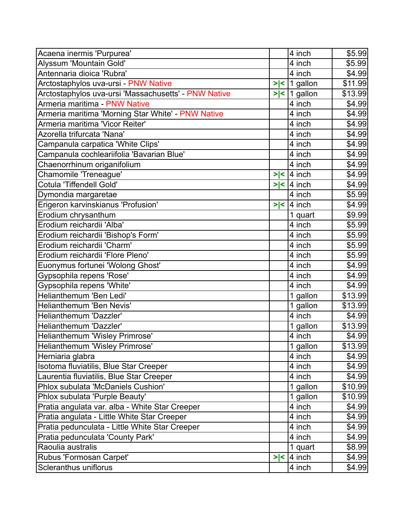| Acaena inermis 'Purpurea'                            |     | 4 inch           | \$5.99         |
|------------------------------------------------------|-----|------------------|----------------|
| Alyssum 'Mountain Gold'                              |     | 4 inch           | \$5.99         |
| Antennaria dioica 'Rubra'                            |     | 4 inch           | \$4.99         |
| Arctostaphylos uva-ursi - PNW Native                 |     | $>$  <  1 gallon | \$11.99        |
| Arctostaphylos uva-ursi 'Massachusetts' - PNW Native |     | $>$  <  1 gallon | \$13.99        |
| Armeria maritima - PNW Native                        |     | 4 inch           | \$4.99         |
| Armeria maritima 'Morning Star White' - PNW Native   |     | 4 inch           | \$4.99         |
| Armeria maritima 'Vicor Reiter'                      |     | 4 inch           | \$4.99         |
| Azorella trifurcata 'Nana'                           |     | 4 inch           | \$4.99         |
| Campanula carpatica 'White Clips'                    |     | 4 inch           | $\sqrt{$4.99}$ |
| Campanula cochleariifolia 'Bavarian Blue'            |     | 4 inch           | \$4.99         |
| Chaenorrhinum origanifolium                          |     | 4 inch           | \$4.99         |
| Chamomile 'Treneague'                                |     | $>$  <  4 inch   | \$4.99         |
| Cotula 'Tiffendell Gold'                             | > < | $ 4$ inch        | \$4.99         |
| Dymondia margaretae                                  |     | 4 inch           | \$5.99         |
| Erigeron karvinskianus 'Profusion'                   | > < | 4 inch           | \$4.99         |
| Erodium chrysanthum                                  |     | 1 quart          | \$9.99         |
| Erodium reichardii 'Alba'                            |     | 4 inch           | \$5.99         |
| Erodium reichardii 'Bishop's Form'                   |     | 4 inch           | \$5.99         |
| Erodium reichardii 'Charm'                           |     | 4 inch           | \$5.99         |
| Erodium reichardii 'Flore Pleno'                     |     | 4 inch           | \$5.99         |
| Euonymus fortunei 'Wolong Ghost'                     |     | 4 inch           | \$4.99         |
| Gypsophila repens 'Rose'                             |     | 4 inch           | \$4.99         |
| Gypsophila repens 'White'                            |     | 4 inch           | \$4.99         |
| Helianthemum 'Ben Ledi'                              |     | 1 gallon         | \$13.99        |
| Helianthemum 'Ben Nevis'                             |     | 1 gallon         | \$13.99        |
| Helianthemum 'Dazzler'                               |     | 4 inch           | \$4.99         |
| Helianthemum 'Dazzler'                               |     | 1 gallon         | \$13.99        |
| Helianthemum 'Wisley Primrose'                       |     | 4 inch           | \$4.99         |
| Helianthemum 'Wisley Primrose'                       |     | 1 gallon         | \$13.99        |
| Herniaria glabra                                     |     | 4 inch           | \$4.99         |
| Isotoma fluviatilis, Blue Star Creeper               |     | 4 inch           | \$4.99         |
| Laurentia fluviatilis, Blue Star Creeper             |     | 4 inch           | \$4.99         |
| Phlox subulata 'McDaniels Cushion'                   |     | 1 gallon         | \$10.99        |
| Phlox subulata 'Purple Beauty'                       |     | 1 gallon         | \$10.99        |
| Pratia angulata var. alba - White Star Creeper       |     | 4 inch           | \$4.99         |
| Pratia angulata - Little White Star Creeper          |     | 4 inch           | \$4.99         |
| Pratia pedunculata - Little White Star Creeper       |     | 4 inch           | \$4.99         |
| Pratia pedunculata 'County Park'                     |     | 4 inch           | \$4.99         |
| Raoulia australis                                    |     | 1 quart          | \$8.99         |
| Rubus 'Formosan Carpet'                              | > < | 4 inch           | \$4.99         |
| Scleranthus uniflorus                                |     | 4 inch           | \$4.99         |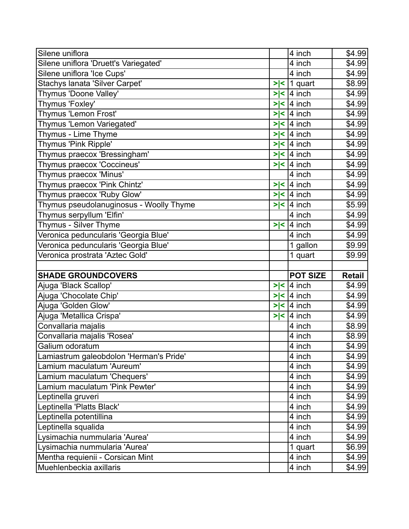| Silene uniflora                                             |     | 4 inch           | \$4.99                     |
|-------------------------------------------------------------|-----|------------------|----------------------------|
| Silene uniflora 'Druett's Variegated'                       |     | 4 inch           | \$4.99                     |
| Silene uniflora 'Ice Cups'                                  |     | 4 inch           | \$4.99                     |
| Stachys lanata 'Silver Carpet'                              | > < | 1 quart          | \$8.99                     |
| Thymus 'Doone Valley'                                       | > < | 4 inch           | \$4.99                     |
| Thymus 'Foxley'                                             | > < | 4 inch           | \$4.99                     |
| Thymus 'Lemon Frost'                                        | > < | $ 4$ inch        | \$4.99                     |
| Thymus 'Lemon Variegated'                                   | > < | $ 4$ inch        | \$4.99                     |
| Thymus - Lime Thyme                                         |     | $>$  <  4 inch   | \$4.99                     |
| Thymus 'Pink Ripple'                                        | > < | 4 inch           | \$4.99                     |
| Thymus praecox 'Bressingham'                                |     | $>$  <  4 inch   | \$4.99                     |
| Thymus praecox 'Coccineus'                                  |     | $>$  <  4 inch   | \$4.99                     |
| Thymus praecox 'Minus'                                      |     | 4 inch           | \$4.99                     |
| Thymus praecox 'Pink Chintz'                                | > < | 4 inch           | \$4.99                     |
| Thymus praecox 'Ruby Glow'                                  |     | $>$  <  4 inch   | \$4.99                     |
| Thymus pseudolanuginosus - Woolly Thyme                     | > < | 4 inch           | \$5.99                     |
| Thymus serpyllum 'Elfin'                                    |     | 4 inch           | \$4.99                     |
| Thymus - Silver Thyme                                       |     | $>$  <  4 inch   | \$4.99                     |
| Veronica peduncularis 'Georgia Blue'                        |     | 4 inch           | \$4.99                     |
| Veronica peduncularis 'Georgia Blue'                        |     | 1 gallon         | \$9.99                     |
| Veronica prostrata 'Aztec Gold'                             |     | 1 quart          | \$9.99                     |
|                                                             |     |                  |                            |
|                                                             |     |                  |                            |
| <b>SHADE GROUNDCOVERS</b>                                   |     | <b>POT SIZE</b>  | <b>Retail</b>              |
| Ajuga 'Black Scallop'                                       | > < | 4 inch           | \$4.99                     |
| Ajuga 'Chocolate Chip'                                      | > < | 4 inch           | \$4.99                     |
| Ajuga 'Golden Glow'                                         | > < | 4 inch           | \$4.99                     |
| Ajuga 'Metallica Crispa'                                    | > < | 4 inch           | \$4.99                     |
| Convallaria majalis                                         |     | 4 inch           | \$8.99                     |
| Convallaria majalis 'Rosea'                                 |     | 4 inch           | \$8.99                     |
| Galium odoratum                                             |     | 4 inch           | \$4.99                     |
| Lamiastrum galeobdolon 'Herman's Pride'                     |     | 4 inch           |                            |
| Lamium maculatum 'Aureum'                                   |     | 4 inch           | \$4.99<br>\$4.99           |
| Lamium maculatum 'Chequers'                                 |     | 4 inch           | \$4.99                     |
| Lamium maculatum 'Pink Pewter'                              |     | 4 inch           | \$4.99                     |
| Leptinella gruveri                                          |     | 4 inch           | \$4.99                     |
| Leptinella 'Platts Black'                                   |     | 4 inch           | \$4.99                     |
| Leptinella potentillina                                     |     | 4 inch           | \$4.99                     |
| Leptinella squalida                                         |     | 4 inch           |                            |
| Lysimachia nummularia 'Aurea'                               |     | 4 inch           | \$4.99<br>\$4.99           |
| Lysimachia nummularia 'Aurea'                               |     | 1 quart          |                            |
| Mentha requienii - Corsican Mint<br>Muehlenbeckia axillaris |     | 4 inch<br>4 inch | \$6.99<br>\$4.99<br>\$4.99 |